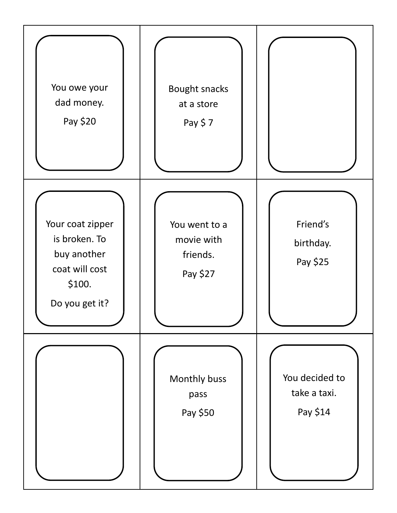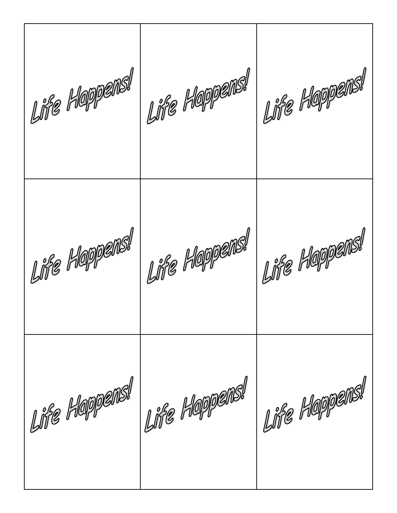Life Happens! Life Happens! Life Happens! Life Happens! Life Happens! Life Happens! Life Happens!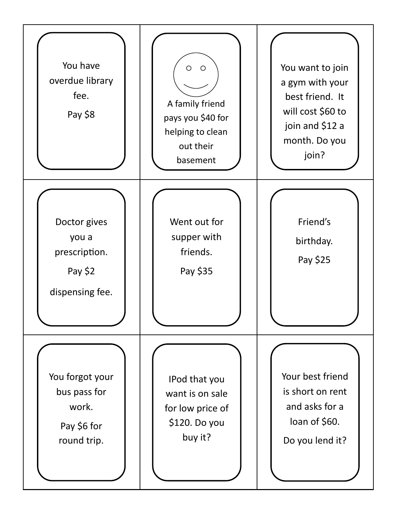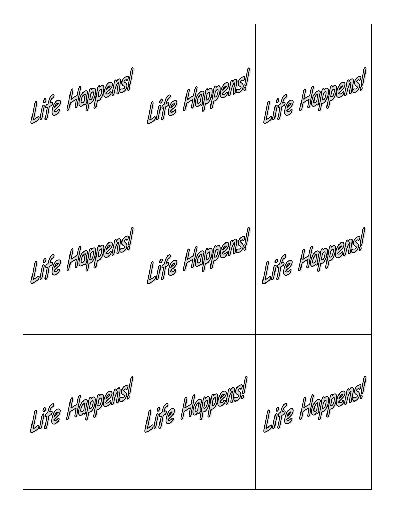Life Happens! I Life Happens! Life Happens! Life Happens! Life Happens! Life Happens! Life Happens!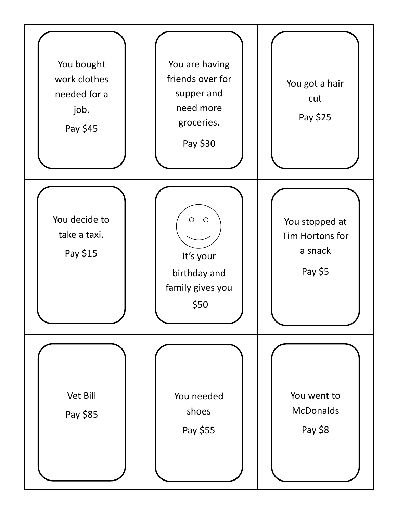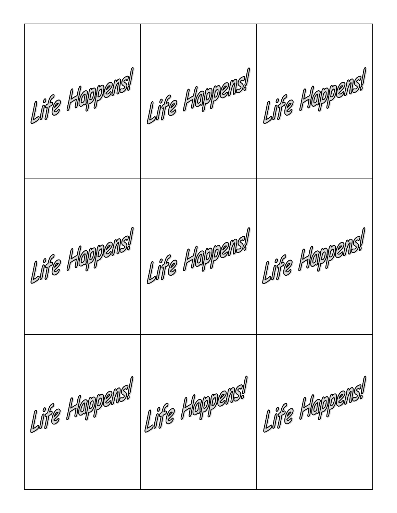Life Happens! Life Happens! Life Happens! Life Happens! Life Happens! Life Happens! Life Happens!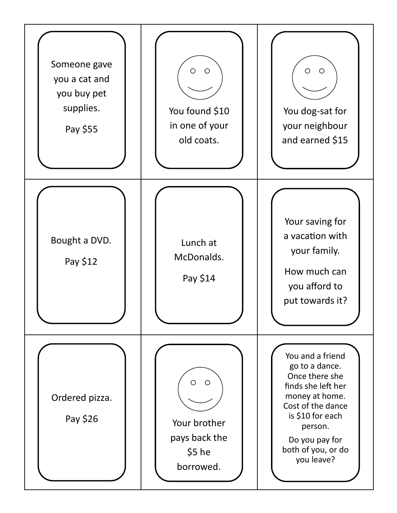